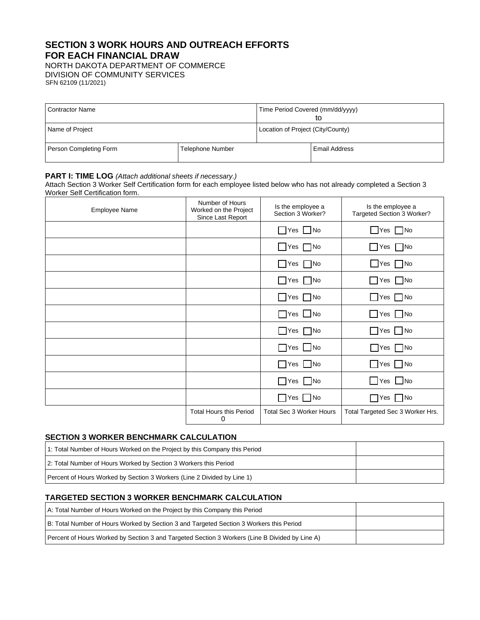# **SECTION 3 WORK HOURS AND OUTREACH EFFORTS FOR EACH FINANCIAL DRAW**

NORTH DAKOTA DEPARTMENT OF COMMERCE

DIVISION OF COMMUNITY SERVICES SFN 62109 (11/2021)

| <b>Contractor Name</b> |                         | Time Period Covered (mm/dd/yyyy)<br>tΟ |                      |
|------------------------|-------------------------|----------------------------------------|----------------------|
| Name of Project        |                         | Location of Project (City/County)      |                      |
| Person Completing Form | <b>Telephone Number</b> |                                        | <b>Email Address</b> |

#### **PART I: TIME LOG** *(Attach additional sheets if necessary.)*

Attach Section 3 Worker Self Certification form for each employee listed below who has not already completed a Section 3 Worker Self Certification form.

| Employee Name | Number of Hours<br>Worked on the Project<br>Since Last Report | Is the employee a<br>Section 3 Worker? | Is the employee a<br>Targeted Section 3 Worker? |
|---------------|---------------------------------------------------------------|----------------------------------------|-------------------------------------------------|
|               |                                                               | $\Box$ Yes $\Box$ No                   | $\Box$ Yes $\Box$ No                            |
|               |                                                               | $\Box$ Yes $\Box$ No                   | $\Box$ Yes $\Box$ No                            |
|               |                                                               | $\Box$ Yes $\Box$ No                   | $\Box$ Yes $\Box$ No                            |
|               |                                                               | $\Box$ Yes $\Box$ No                   | $\Box$ Yes $\Box$ No                            |
|               |                                                               | $\Box$ Yes $\Box$ No                   | $\Box$ Yes $\Box$ No                            |
|               |                                                               | $\Box$ Yes $\Box$ No                   | $\Box$ Yes $\Box$ No                            |
|               |                                                               | $\Box$ Yes $\Box$ No                   | $\Box$ Yes $\Box$ No                            |
|               |                                                               | $\Box$ Yes $\Box$ No                   | No TNo                                          |
|               |                                                               | $\Box$ Yes $\Box$ No                   | $\Box$ Yes $\Box$ No                            |
|               |                                                               | $\Box$ No<br>$\Box$ Yes                | $\Box$ Yes $\Box$ No                            |
|               |                                                               | $\Box$ Yes $\Box$ No                   | $\Box$ Yes $\Box$ No                            |
|               | <b>Total Hours this Period</b><br>0                           | <b>Total Sec 3 Worker Hours</b>        | Total Targeted Sec 3 Worker Hrs.                |

# **SECTION 3 WORKER BENCHMARK CALCULATION**

| 1: Total Number of Hours Worked on the Project by this Company this Period |  |
|----------------------------------------------------------------------------|--|
| 2: Total Number of Hours Worked by Section 3 Workers this Period           |  |
| Percent of Hours Worked by Section 3 Workers (Line 2 Divided by Line 1)    |  |

# **TARGETED SECTION 3 WORKER BENCHMARK CALCULATION**

| A: Total Number of Hours Worked on the Project by this Company this Period                     |  |
|------------------------------------------------------------------------------------------------|--|
| B: Total Number of Hours Worked by Section 3 and Targeted Section 3 Workers this Period        |  |
| Percent of Hours Worked by Section 3 and Targeted Section 3 Workers (Line B Divided by Line A) |  |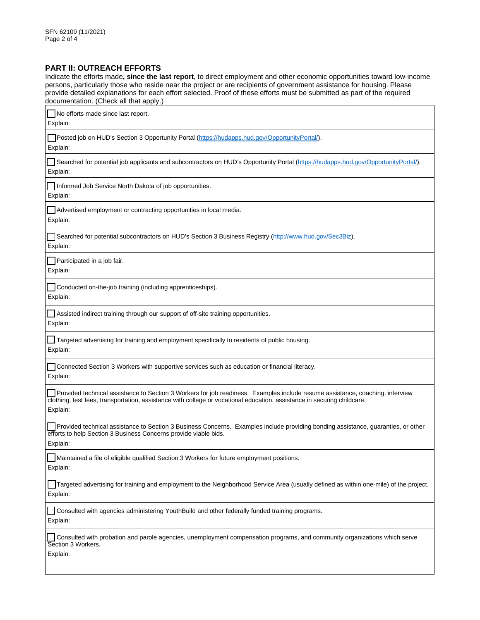#### **PART II: OUTREACH EFFORTS**

Indicate the efforts made**, since the last report**, to direct employment and other economic opportunities toward low-income persons, particularly those who reside near the project or are recipients of government assistance for housing. Please provide detailed explanations for each effort selected. Proof of these efforts must be submitted as part of the required documentation. (Check all that apply.)

| No efforts made since last report.<br>Explain:                                                                                                                                                                                                                       |
|----------------------------------------------------------------------------------------------------------------------------------------------------------------------------------------------------------------------------------------------------------------------|
| Posted job on HUD's Section 3 Opportunity Portal (https://hudapps.hud.gov/OpportunityPortal/).<br>Explain:                                                                                                                                                           |
| Tsearched for potential job applicants and subcontractors on HUD's Opportunity Portal (https://hudapps.hud.gov/OpportunityPortal/).<br>Explain:                                                                                                                      |
| Informed Job Service North Dakota of job opportunities.<br>Explain:                                                                                                                                                                                                  |
| Advertised employment or contracting opportunities in local media.<br>Explain:                                                                                                                                                                                       |
| Searched for potential subcontractors on HUD's Section 3 Business Registry (http://www.hud.gov/Sec3Biz).<br>Explain:                                                                                                                                                 |
| Participated in a job fair.<br>Explain:                                                                                                                                                                                                                              |
| Conducted on-the-job training (including apprenticeships).<br>Explain:                                                                                                                                                                                               |
| Assisted indirect training through our support of off-site training opportunities.<br>Explain:                                                                                                                                                                       |
| Targeted advertising for training and employment specifically to residents of public housing.<br>Explain:                                                                                                                                                            |
| Connected Section 3 Workers with supportive services such as education or financial literacy.<br>Explain:                                                                                                                                                            |
| Provided technical assistance to Section 3 Workers for job readiness. Examples include resume assistance, coaching, interview<br>clothing, test fees, transportation, assistance with college or vocational education, assistance in securing childcare.<br>Explain: |
| Provided technical assistance to Section 3 Business Concerns. Examples include providing bonding assistance, guaranties, or other<br>efforts to help Section 3 Business Concerns provide viable bids.<br>Explain:                                                    |
| Maintained a file of eligible qualified Section 3 Workers for future employment positions<br>Explain:                                                                                                                                                                |
| Targeted advertising for training and employment to the Neighborhood Service Area (usually defined as within one-mile) of the project.<br>Explain:                                                                                                                   |
| Consulted with agencies administering YouthBuild and other federally funded training programs.<br>Explain:                                                                                                                                                           |
| Consulted with probation and parole agencies, unemployment compensation programs, and community organizations which serve<br>Section 3 Workers.<br>Explain:                                                                                                          |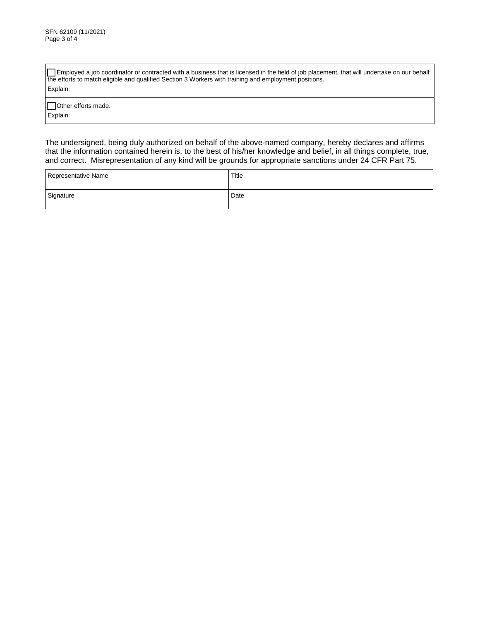Employed a job coordinator or contracted with a business that is licensed in the field of job placement, that will undertake on our behalf the efforts to match eligible and qualified Section 3 Workers with training and employment positions. Explain:

Other efforts made. Explain:

The undersigned, being duly authorized on behalf of the above-named company, hereby declares and affirms that the information contained herein is, to the best of his/her knowledge and belief, in all things complete, true, and correct. Misrepresentation of any kind will be grounds for appropriate sanctions under 24 CFR Part 75.

| Representative Name | Title |
|---------------------|-------|
| Signature           | Date  |